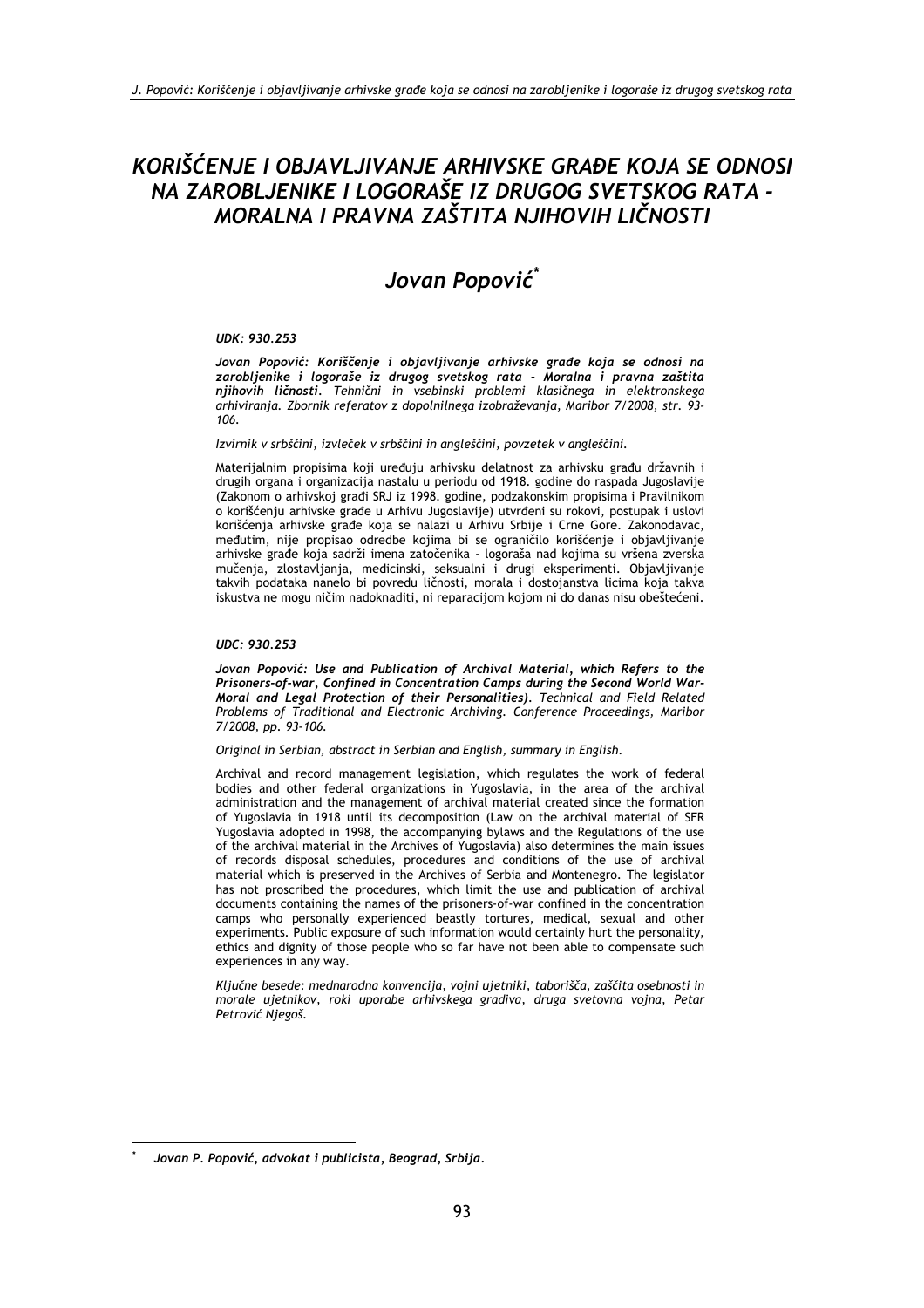## KORIŠĆENJE I OBJAVLJIVANJE ARHIVSKE GRAĐE KOJA SE ODNOSI NA ZAROBLJENIKE I LOGORAŠE IZ DRUGOG SVETSKOG RATA -MORALNA I PRAVNA ZAŠTITA NJIHOVIH LIČNOSTI

# Jovan Popović\*

#### **UDK: 930.253**

Jovan Popović: Koriščenje i objavljivanje arhivske građe koja se odnosi na zarobljenike i logoraše iz drugog svetskog rata - Moralna i pravna zaštita<br>njihovih ličnosti. Tehnični in vsebinski problemi klasičnega in elektronskega arhiviranja. Zbornik referatov z dopolnilnega izobraževanja, Maribor 7/2008, str. 93-106.

Izvirnik v srbščini, izvleček v srbščini in angleščini, povzetek v angleščini.

Materijalním propisima koji uređuju arhivsku delatnost za arhivsku građu državnih i drugih organa i organizacija nastalu u periodu od 1918. godine do raspada Jugoslavije (Zakonom o arhivskoj građi SRJ iz 1998. godine, podzakonskim propisima i Pravilnikom o korišćenju arhivske građe u Arhivu Jugoslavije) utvrđeni su rokovi, postupak i uslovi korišćenja arhivske građe koja se nalazi u Arhivu Srbije i Crne Gore. Zakonodavac, međutim, nije propisao odredbe kojima bi se ograničilo korišćenje i objavljivanje arhivske građe koja sadrži imena zatočenika - logoraša nad kojima su vršena zverska mučenja, zlostavljanja, medicinski, seksualni i drugi eksperimenti. Objavljivanje takvih podataka nanelo bi povredu ličnosti, morala i dostojanstva licima koja takva iskustva ne mogu ničim nadoknaditi, ni reparacijom kojom ni do danas nisu obeštećeni.

#### UDC: 930.253

Jovan Popović: Use and Publication of Archival Material, which Refers to the Prisoners-of-war, Confined in Concentration Camps during the Second World War-Moral and Legal Protection of their Personalities). Technical and Field Related Problems of Traditional and Electronic Archiving. Conference Proceedings, Maribor 7/2008, pp. 93-106.

Original in Serbian, abstract in Serbian and English, summary in English.

Archival and record management legislation, which regulates the work of federal bodies and other federal organizations in Yugoslavia, in the area of the archival administration and the management of archival material created since the formation of Yugoslavia in 1918 until its decomposition (Law on the archival material of SFR Yugoslavia adopted in 1998, the accompanying bylaws and the Regulations of the use of the archival material in the Archives of Yugoslavia) also determines the main issues of records disposal schedules, procedures and conditions of the use of archival material which is preserved in the Archives of Serbia and Montenegro. The legislator has not proscribed the procedures, which limit the use and publication of archival documents containing the names of the prisoners-of-war confined in the concentration camps who personally experienced beastly tortures, medical, sexual and other experiments. Public exposure of such information would certainly hurt the personality, ethics and dignity of those people who so far have not been able to compensate such experiences in any way.

Ključne besede: mednarodna konvencija, vojni ujetniki, taborišča, zaščita osebnosti in morale ujetnikov, roki uporabe arhivskega gradiva, druga svetovna vojna, Petar Petrović Njegoš.

Jovan P. Popović, advokat i publicista, Beograd, Srbija.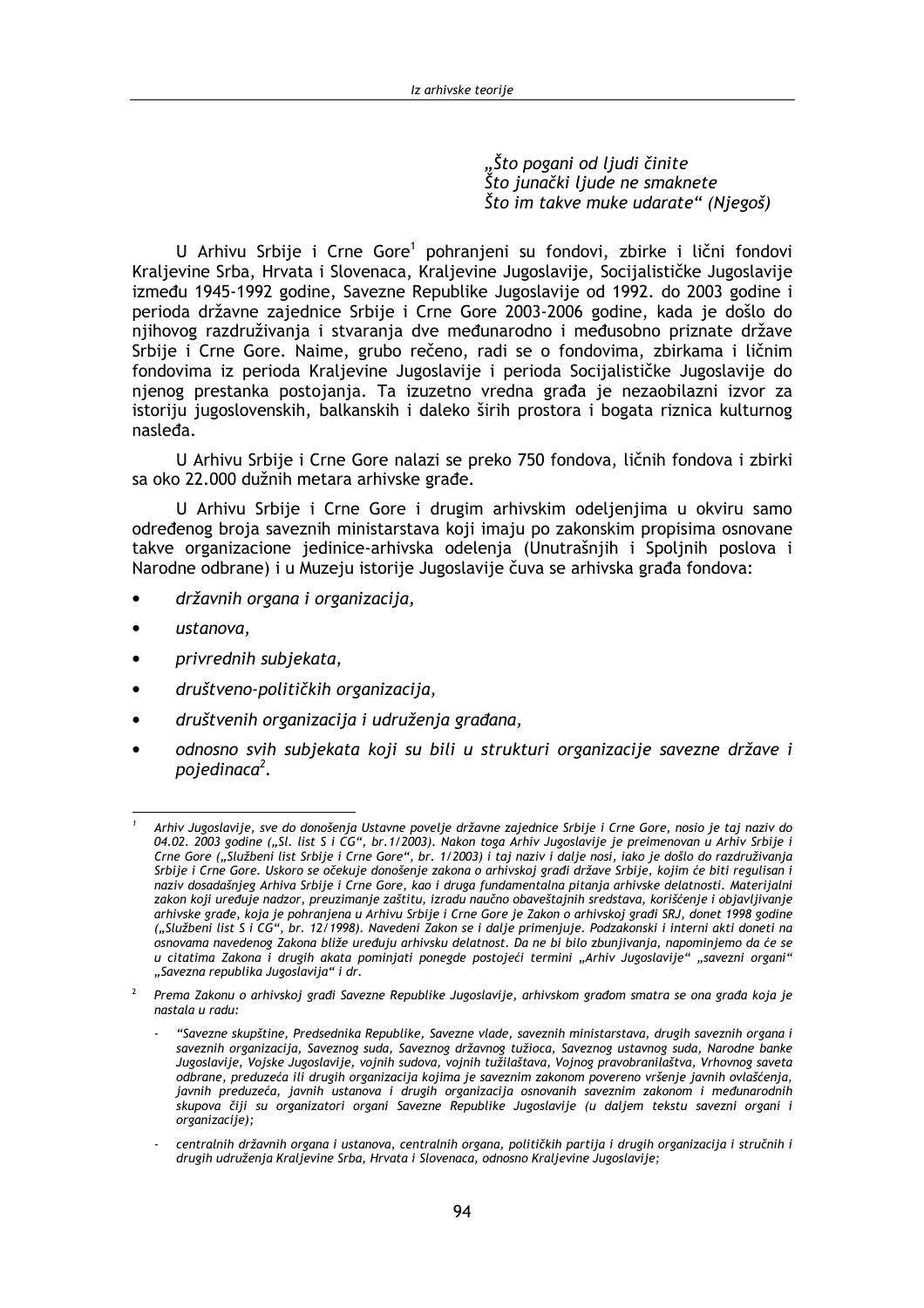"Što pogani od ljudi činite<br>Što junački ljude ne smaknete Što im takve muke udarate" (Niegoš)

U Arhivu Srbije i Crne Gore<sup>1</sup> pohranjeni su fondovi, zbirke i lični fondovi<br>Kraljevine Srba, Hrvata i Slovenaca, Kraljevine Jugoslavije, Socijalističke Jugoslavije između 1945-1992 godine, Savezne Republike Jugoslavije od 1992. do 2003 godine i perioda državne zajednice Srbije i Crne Gore 2003-2006 godine, kada je došlo do njihovog razdruživanja i stvaranja dve međunarodno i međusobno priznate države Srbije i Crne Gore. Naime, grubo rečeno, radi se o fondovima, zbirkama i ličnim fondovima iz perioda Kraljevine Jugoslavije i perioda Socijalističke Jugoslavije do njenog prestanka postojanja. Ta izuzetno vredna građa je nezaobilazni izvor za istoriju jugoslovenskih, balkanskih i daleko širih prostora i bogata riznica kulturnog nasleda.

U Arhivu Srbije i Crne Gore nalazi se preko 750 fondova, ličnih fondova i zbirki sa oko 22.000 dužnih metara arhivske građe.

U Arhivu Srbije i Crne Gore i drugim arhivskim odeljenjima u okviru samo određenog broja saveznih ministarstava koji imaju po zakonskim propisima osnovane takve organizacione jedinice-arhivska odelenja (Unutrašnjih i Spoljnih poslova i Narodne odbrane) i u Muzeju istorije Jugoslavije čuva se arhivska građa fondova:

- državnih organa i organizacija,
- ustanova.
- privrednih subjekata,
- društveno-političkih organizacija,
- društvenih organizacija i udruženja građana,
- odnosno svih subjekata koji su bili u strukturi organizacije savezne države i pojedinaca<sup>2</sup>.

Arhiv Jugoslavije, sve do donošenja Ustavne povelje državne zajednice Srbije i Crne Gore, nosio je taj naziv do 04.02. 2003 godine ("Sl. list S i CG", br.1/2003). Nakon toga Arhiv Jugoslavije je preimenovan u Arhiv Srbije i Crne Gore ("Službeni list Srbije i Crne Gore", br. 1/2003) i taj naziv i dalje nosi, iako je došlo do razdruživanja Srbije i Crne Gore. Uskoro se očekuje donošenje zakona o arhivskoj građi države Srbije, kojim će biti regulisan i naziv dosadašnjeg Arhiva Srbije i Crne Gore, kao i druga fundamentalna pitanja arhivske delatnosti. Materijalni zakon koji uređuje nadzor, preuzimanje zaštitu, izradu naučno obaveštajnih sredstava, korišćenje i objavljivanje arhivske građe, koja je pohranjena u Arhivu Srbije i Crne Gore je Zakon o arhivskoj građi SRJ, donet 1998 godine ("Službeni list S i CG", br. 12/1998). Navedeni Zakon se i dalje primenjuje. Podzakonski i interni akti doneti na osnovama navedenog Zakona bliže uređuju arhivsku delatnost. Da ne bi bilo zbunjivanja, napominjemo da će se u citatima Zakona i drugih akata pominjati ponegde postojeći termini "Arhiv Jugoslavije" "savezni organi" "Savezna republika Jugoslavija" i dr.

Prema Zakonu o arhivskoj građi Savezne Republike Jugoslavije, arhivskom građom smatra se ona građa koja je nastala u radu:

<sup>&</sup>quot;Savezne skupštine, Predsednika Republike, Savezne vlade, saveznih ministarstava, drugih saveznih organa i saveznih organizacija, Saveznog suda, Saveznog državnog tužioca, Saveznog ustavnog suda, Narodne banke Jugoslavije, Vojske Jugoslavije, vojnih sudova, vojnih tužilaštava, Vojnog pravobranilaštva, Vrhovnog saveta odbrane, preduzeća ili drugih organizacija kojima je saveznim zakonom povereno vršenje javnih ovlašćenja, saxialist produzeća, javnih ustanova i drugih organizacija osnovanih saveznim zakonom i međunarodnih<br>skupova čiji su organizatori organi Savezne Republike Jugoslavije (u daljem tekstu savezni organi i organizacije);

centralnih državnih organa i ustanova, centralnih organa, političkih partija i drugih organizacija i stručnih i drugih udruženja Kraljevine Srba, Hrvata i Slovenaca, odnosno Kraljevine Jugoslavije;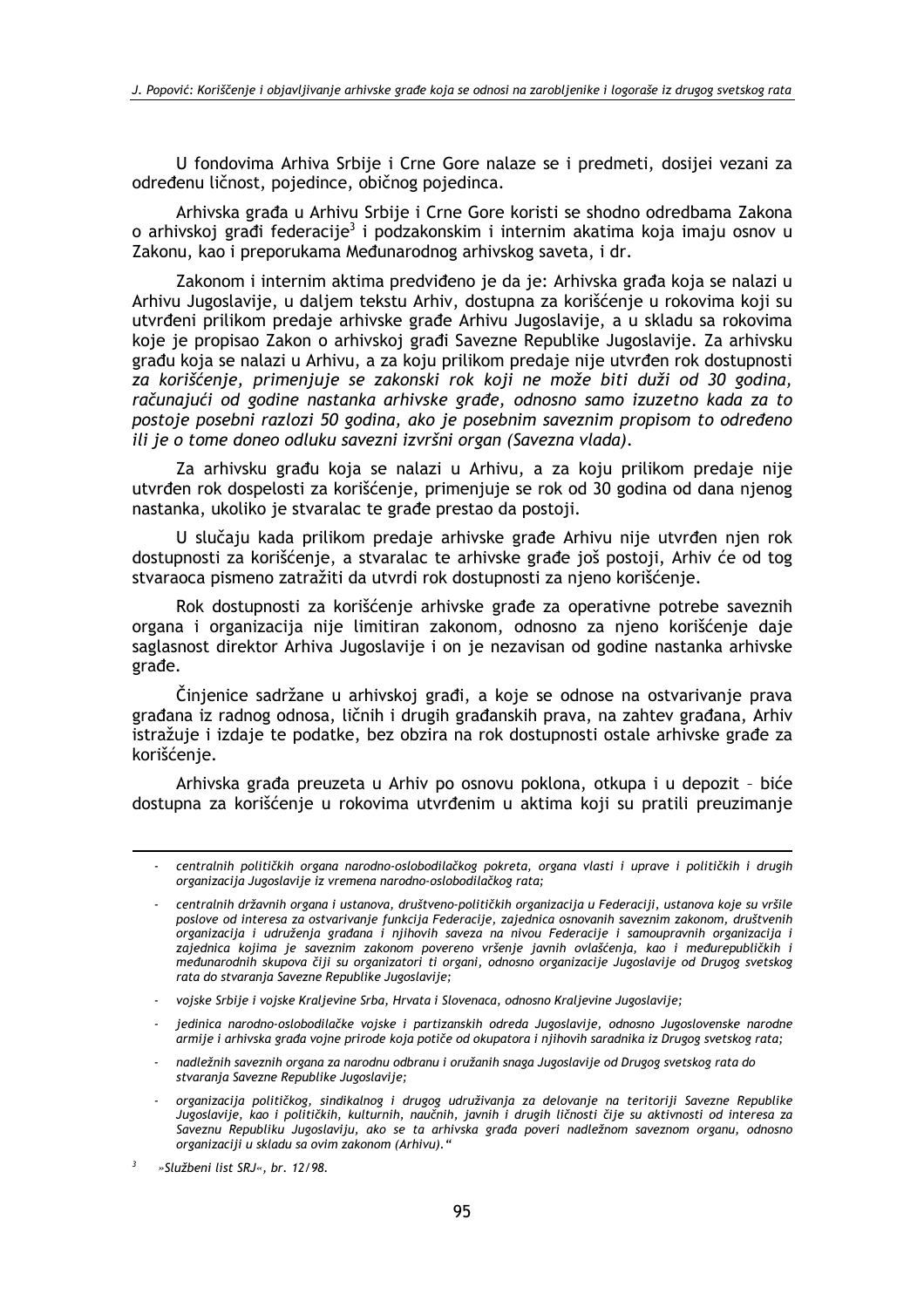U fondovima Arhiva Srbije i Crne Gore nalaze se i predmeti, dosijej vezani za određenu ličnost, pojedince, običnog pojedinca.

Arhivska građa u Arhivu Srbije i Crne Gore koristi se shodno odredbama Zakona o arhivskoj građi federacije<sup>3</sup> i podzakonskim i internim akatima koja imaju osnov u Zakonu, kao i preporukama Međunarodnog arhivskog saveta, i dr.

Zakonom i internim aktima predviđeno je da je: Arhivska građa koja se nalazi u Arhivu Jugoslavije, u daljem tekstu Arhiv, dostupna za korišćenje u rokovima koji su utvrđeni prilikom predaje arhivske građe Arhivu Jugoslavije, a u skladu sa rokovima koje je propisao Zakon o arhivskoj građi Savezne Republike Jugoslavije. Za arhivsku građu koja se nalazi u Arhivu, a za koju prilikom predaje nije utvrđen rok dostupnosti za korišćenje, primenjuje se zakonski rok koji ne može biti duži od 30 godina, računajući od godine nastanka arhivske građe, odnosno samo izuzetno kada za to postoje posebni razlozi 50 godina, ako je posebnim saveznim propisom to određeno ili je o tome doneo odluku savezni izvršni organ (Savezna vlada).

Za arhivsku građu koja se nalazi u Arhivu, a za koju prilikom predaje nije utvrđen rok dospelosti za korišćenje, primenjuje se rok od 30 godina od dana njenog nastanka, ukoliko je stvaralac te građe prestao da postoji.

U slučaju kada prilikom predaje arhivske građe Arhivu nije utvrđen njen rok dostupnosti za korišćenje, a stvaralac te arhivske građe još postoji, Arhiv će od tog stvaraoca pismeno zatražiti da utvrdi rok dostupnosti za njeno korišćenje.

Rok dostupnosti za korišćenje arhivske građe za operativne potrebe saveznih organa i organizacija nije limitiran zakonom, odnosno za njeno korišćenje daje saglasnost direktor Arhiva Jugoslavije i on je nezavisan od godine nastanka arhivske građe.

Činjenice sadržane u arhivskoj građi, a koje se odnose na ostvarivanje prava građana iz radnog odnosa, ličnih i drugih građanskih prava, na zahtev građana, Arhiv istražuje i izdaje te podatke, bez obzira na rok dostupnosti ostale arhivske građe za korišćenie.

Arhivska građa preuzeta u Arhiv po osnovu poklona, otkupa i u depozit - biće dostupna za korišćenje u rokovima utvrđenim u aktima koji su pratili preuzimanje

- jedinica narodno-oslobodilačke vojske i partizanskih odreda Jugoslavije, odnosno Jugoslovenske narodne armije i arhivska građa vojne prirode koja potiče od okupatora i njihovih saradnika iz Drugog svetskog rata;
- nadležnih saveznih organa za narodnu odbranu i oružanih snaga Jugoslavije od Drugog svetskog rata do stvaranja Savezne Republike Jugoslavije;
- organizacija političkog, sindikalnog i drugog udruživanja za delovanje na teritoriji Savezne Republike Jugoslavije, kao i političkih, kulturnih, naučnih, javnih i drugih ličnosti čije su aktivnosti od interesa za Saveznu Republiku Jugoslaviju, ako se ta arhivska građa poveri nadležnom saveznom organu, odnosno organizaciji u skladu sa ovim zakonom (Arhivu)."

<sup>-</sup> centralnih političkih organa narodno-oslobodilačkog pokreta, organa vlasti i uprave i političkih i drugih organizacija Jugoslavije iz vremena narodno-oslobodilačkog rata;

centralnih državnih organa i ustanova, društveno-političkih organizacija u Federaciji, ustanova koje su vršile poslove od interesa za ostvarivanje funkcija Federacije, zajednica osnovanih saveznim zakonom, društvenih organizacija i udruženja građana i nijhovih saveza na nivou Federacije i samoupravnih organizacija i zajednica kojima je saveznim zakonom povereno vršenje javnih ovlašćenja, kao i međurepubličkih i međunarodnih skupova čiji su organizatori ti organi, odnosno organizacije Jugoslavije od Drugog svetskog rata do stvaranja Savezne Republike Jugoslavije;

<sup>-</sup> vojske Srbije i vojske Kraljevine Srba, Hrvata i Slovenaca, odnosno Kraljevine Jugoslavije;

<sup>»</sup>Službeni list SRJ«, br. 12/98.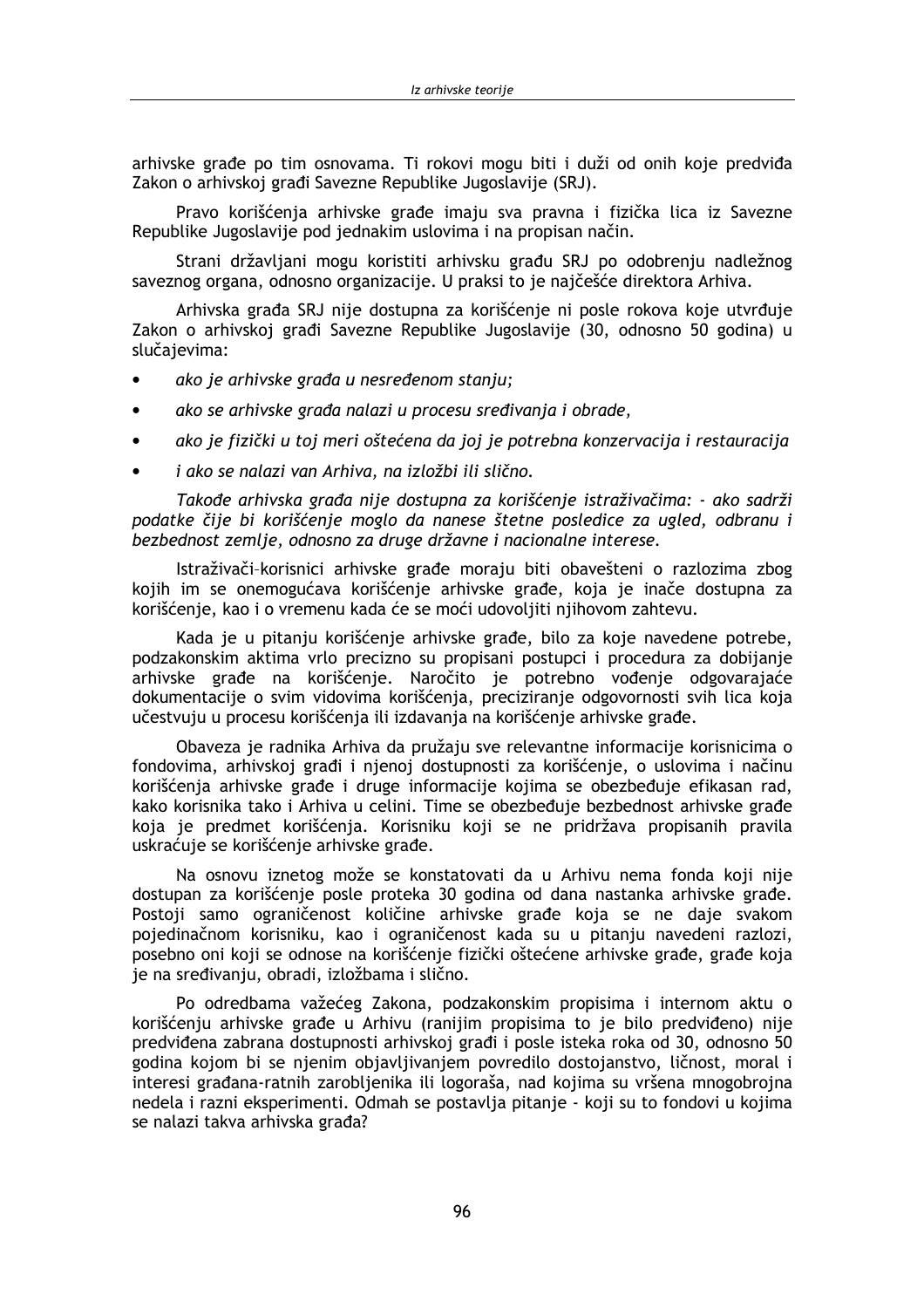arhivske građe po tim osnovama. Ti rokovi mogu biti i duži od onih koje predviđa Zakon o arhivskoj građi Savezne Republike Jugoslavije (SRJ).

Pravo korišćenja arhivske građe imaju sva pravna i fizička lica iz Savezne Republike Jugoslavije pod jednakim uslovima i na propisan način.

Strani državljani mogu koristiti arhivsku građu SRJ po odobrenju nadležnog saveznog organa, odnosno organizacije. U praksi to je najčešće direktora Arhiva.

Arhivska građa SRJ nije dostupna za korišćenje ni posle rokova koje utvrđuje Zakon o arhivskoj građi Savezne Republike Jugoslavije (30, odnosno 50 godina) u slučajevima:

- ako je arhivske građa u nesređenom stanju;
- ako se arhivske građa nalazi u procesu sređivanja i obrade,  $\bullet$
- ako je fizički u toj meri oštećena da joj je potrebna konzervacija i restauracija
- i ako se nalazi van Arhiva, na izložbi ili slično.

Takođe arhivska građa nije dostupna za korišćenje istraživačima: - ako sadrži podatke čije bi korišćenje moglo da nanese štetne posledice za ugled, odbranu i bezbednost zemlje, odnosno za druge državne i nacionalne interese.

Istraživači-korisnici arhivske građe moraju biti obavešteni o razlozima zbog kojih im se onemogućava korišćenje arhivske građe, koja je inače dostupna za korišćenje, kao i o vremenu kada će se moći udovoljiti njihovom zahtevu.

Kada je u pitanju korišćenje arhivske građe, bilo za koje navedene potrebe, podzakonskim aktima vrlo precizno su propisani postupci i procedura za dobijanje arhivske građe na korišćenje. Naročito je potrebno vođenje odgovarajaće dokumentacije o svim vidovima korišćenja, preciziranje odgovornosti svih lica koja učestvuju u procesu korišćenja ili izdavanja na korišćenje arhivske građe.

Obaveza je radnika Arhiva da pružaju sve relevantne informacije korisnicima o fondovima, arhivskoj građi i njenoj dostupnosti za korišćenje, o uslovima i načinu korišćenja arhivske građe i druge informacije kojima se obezbeđuje efikasan rad, kako korisnika tako i Arhiva u celini. Time se obezbeđuje bezbednost arhivske građe koja je predmet korišćenia. Korisniku koji se ne pridržava propisanih pravila uskraćuje se korišćenje arhivske građe.

Na osnovu iznetog može se konstatovati da u Arhivu nema fonda koji nije dostupan za korišćenie posle proteka 30 godina od dana nastanka arhivske građe. Postoji samo ograničenost količine arhivske građe koja se ne daje svakom pojedinačnom korisniku, kao i ograničenost kada su u pitanju navedeni razlozi, posebno oni koji se odnose na korišćenje fizički oštećene arhivske građe, građe koja je na sređivanju, obradi, izložbama i slično.

Po odredbama važećeg Zakona, podzakonskim propisima i internom aktu o korišćenju arhivske građe u Arhivu (ranijim propisima to je bilo predviđeno) nije predviđena zabrana dostupnosti arhivskoj građi i posle isteka roka od 30, odnosno 50 godina kojom bi se njenim objavljivanjem povredilo dostojanstvo, ličnost, moral i interesi građana-ratnih zarobljenika ili logoraša, nad kojima su vršena mnogobrojna nedela i razni eksperimenti. Odmah se postavlja pitanje - koji su to fondovi u kojima se nalazi takva arhivska građa?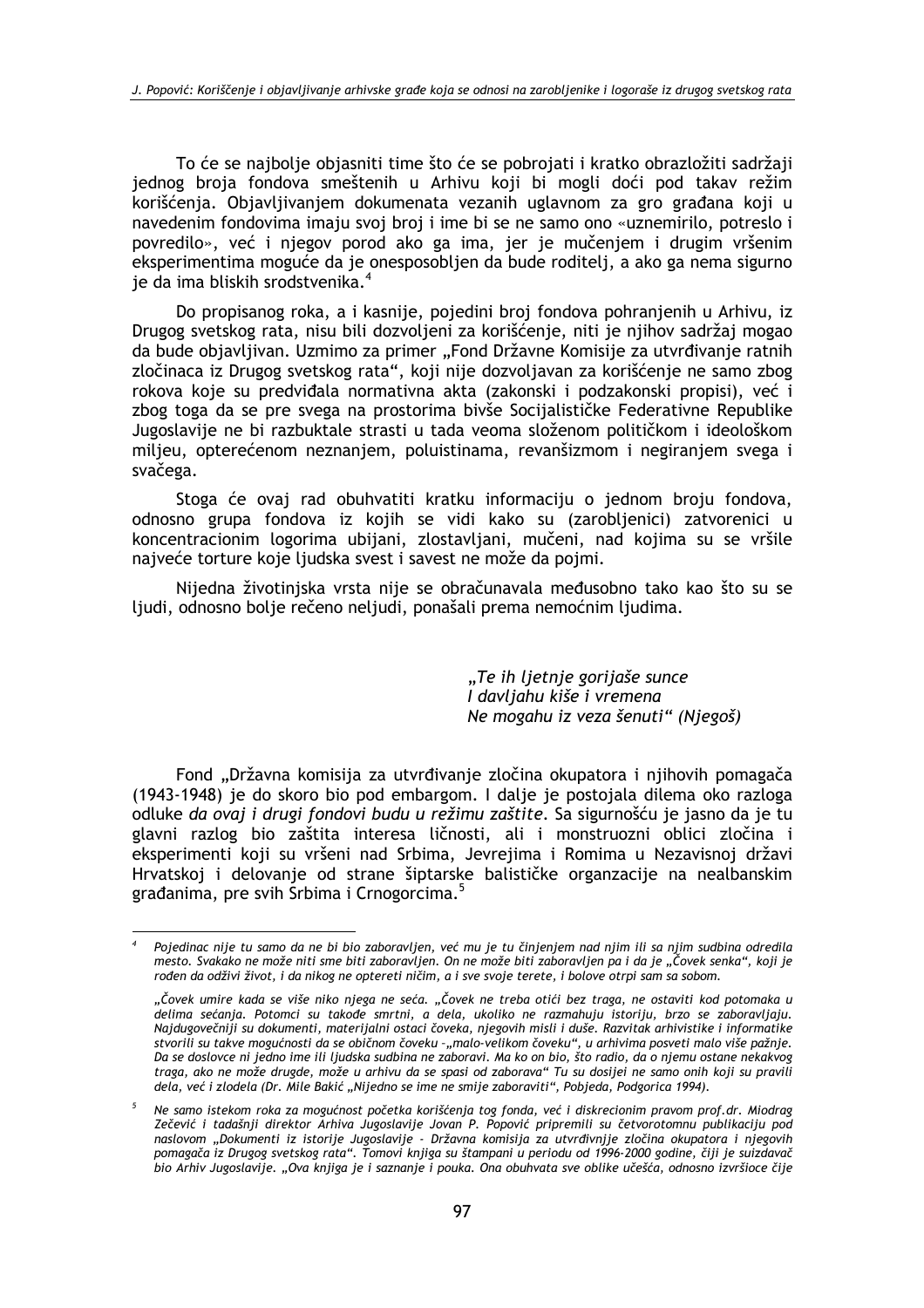To će se najbolje objasniti time što će se pobrojati i kratko obrazložiti sadržaji jednog broja fondova smeštenih u Arhivu koji bi mogli doći pod takav režim korišćenia. Obiavlijvaniem dokumenata vezanih uglavnom za gro građana koji u navedenim fondovima imaju svoj broj i ime bi se ne samo ono «uznemirilo, potreslo i povredilo», već i njegov porod ako ga ima, jer je mučenjem i drugim vršenim eksperimentima moguće da je onesposobljen da bude roditelj, a ako ga nema sigurno je da ima bliskih srodstvenika.<sup>4</sup>

Do propisanog roka, a i kasnije, pojedini broj fondova pohranjenih u Arhivu, iz Drugog svetskog rata, nisu bili dozvoljeni za korišćenje, niti je njihov sadržaj mogao da bude objavljivan. Uzmimo za primer "Fond Državne Komisije za utvrđivanje ratnih zločinaca iz Drugog svetskog rata", koji nije dozvoljavan za korišćenje ne samo zbog rokova koje su predviđala normativna akta (zakonski i podzakonski propisi), već i zbog toga da se pre svega na prostorima bivše Socijalističke Federativne Republike Jugoslavije ne bi razbuktale strasti u tada veoma složenom političkom i ideološkom miljeu, opterećenom neznanjem, poluistinama, revanšizmom i negiranjem svega i svačega.

Stoga će ovaj rad obuhvatiti kratku informaciju o jednom broju fondova, odnosno grupa fondova iz kojih se vidi kako su (zarobljenici) zatvorenici u koncentracionim logorima ubijani, zlostavljani, mučeni, nad kojima su se vršile najveće torture koje ljudska svest i savest ne može da pojmi.

Nijedna životiniska vrsta nije se obračunavala međusobno tako kao što su se ljudi, odnosno bolje rečeno neljudi, ponašali prema nemoćnim ljudima.

> "Te ih ljetnje gorijaše sunce I davljahu kiše i vremena Ne mogahu iz veza šenuti" (Njegoš)

Fond "Državna komisija za utvrđivanje zločina okupatora i njihovih pomagača (1943-1948) je do skoro bio pod embargom. I dalje je postojala dilema oko razloga odluke da ovaj i drugi fondovi budu u režimu zaštite. Sa sigurnošću je jasno da je tu glavni razlog bio zaštita interesa ličnosti, ali i monstruozni oblici zločina i eksperimenti koji su vršeni nad Srbima, Jevrejima i Romima u Nezavisnoj državi Hrvatskoj i delovanje od strane šiptarske balističke organzacije na nealbanskim građanima, pre svih Srbima i Crnogorcima.<sup>5</sup>

Pojedinac nije tu samo da ne bi bio zaboravljen, već mu je tu činjenjem nad njim ili sa njim sudbina odredila mesto. Svakako ne može niti sme biti zaboravljen. On ne može biti zaboravljen pa i da je "Čovek senka", koji je rođen da odživi život, i da nikog ne optereti ničim, a i sve svoje terete, i bolove otrpi sam sa sobom.

<sup>&</sup>quot;Čovek umire kada se više niko njega ne seća. "Čovek ne treba otići bez traga, ne ostaviti kod potomaka u delima sećanja. Potomci su takođe smrtni, a dela, ukoliko ne razmahuju istoriju, brzo se zaboravljaju. Najdugovečniji su dokumenti, materijalni ostaci čoveka, njegovih misli i duše. Razvitak arhivistike i informatike stvorili su takve mogućnosti da se običnom čoveku -"malo-velikom čoveku", u arhivima posveti malo više pažnje. Da se doslovce ni jedno ime ili ljudska sudbina ne zaboravi. Ma ko on bio, što radio, da o njemu ostane nekakvog traga, ako ne može drugde, može u arhivu da se spasi od zaborava" Tu su dosijei ne samo onih koji su pravili dela, već i zlodela (Dr. Mile Bakić "Nijedno se ime ne smije zaboraviti", Pobjeda, Podgorica 1994).

Ne samo istekom roka za mogućnost početka korišćenja tog fonda, već i diskrecionim pravom prof.dr. Miodrag Zečević i tadašnji direktor Arhiva Jugoslavije Jovan P. Popović pripremili su četvorotomnu publikaciju pod naslovom "Dokumenti iz istorije Jugoslavije - Državna komisija za utvrđivnjje zločina okupatora i njegovih pomagača iz Drugog svetskog rata". Tomovi knjiga su štampani u periodu od 1996-2000 godine, čiji je suizdavač bio Arhiv Jugoslavije. "Ova knjiga je i saznanje i pouka. Ona obuhvata sve oblike učešća, odnosno izvršioce čije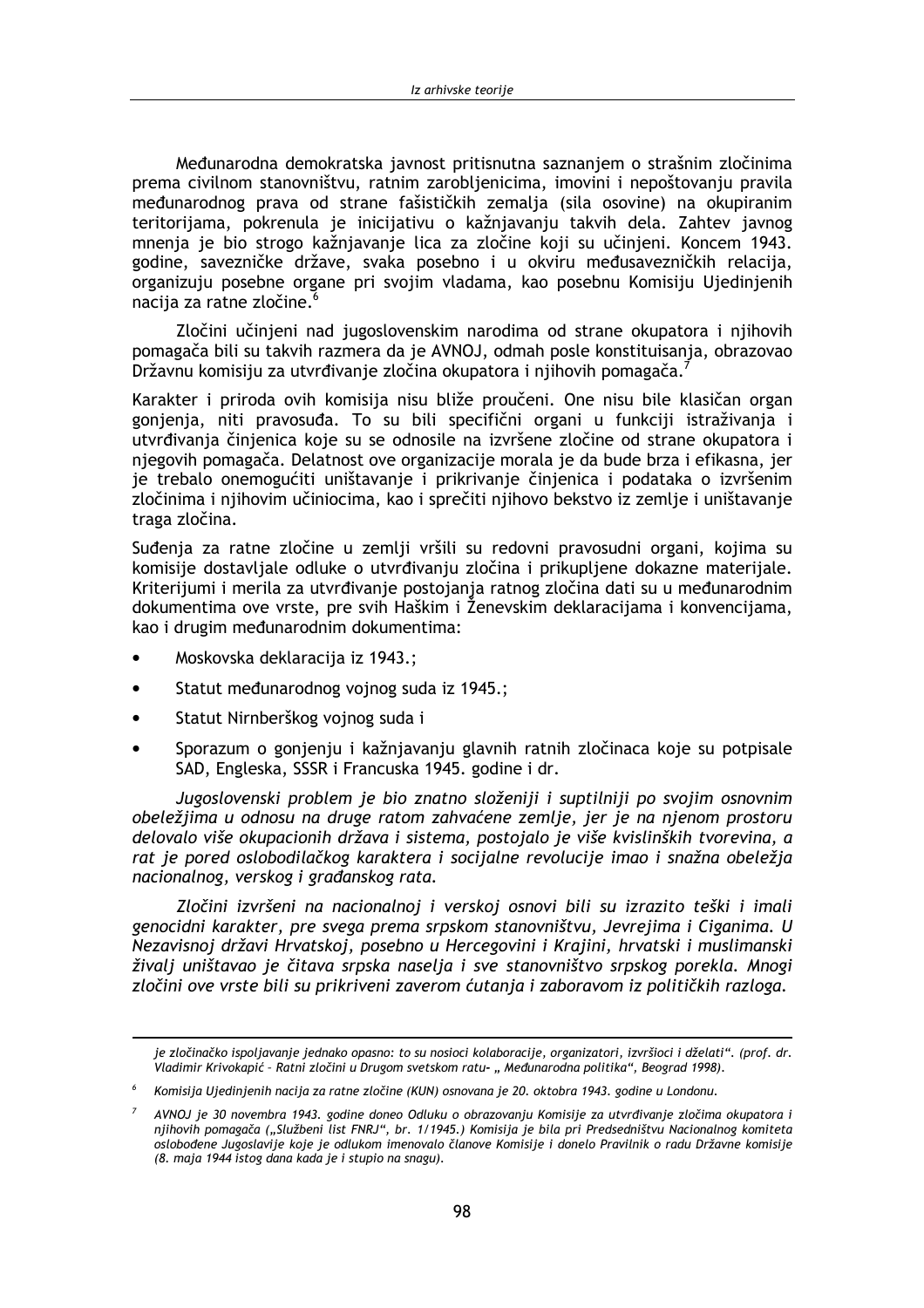Međunarodna demokratska javnost pritisnutna saznanjem o strašnim zločinima prema civilnom stanovništvu, ratnim zaroblienicima, imovini i nepoštovaniu pravila međunarodnog prava od strane fašističkih zemalja (sila osovine) na okupiranim teritorijama, pokrenula je inicijativu o kažnjavanju takvih dela. Zahtev javnog mnenja je bio strogo kažnjavanje lica za zločine koji su učinjeni. Koncem 1943. godine, savezničke države, svaka posebno i u okviru međusavezničkih relacija, organizuju posebne organe pri svojim vladama, kao posebnu Komisiju Ujedinjenih nacija za ratne zločine.<sup>6</sup>

Zločini učinjeni nad jugoslovenskim narodima od strane okupatora i njihovih pomagača bili su takvih razmera da je AVNOJ, odmah posle konstituisanja, obrazovao Državnu komisiju za utvrđivanje zločina okupatora i njihovih pomagača.

Karakter i priroda ovih komisija nisu bliže proučeni. One nisu bile klasičan organ gonjenja, niti pravosuđa. To su bili specifični organi u funkciji istraživanja i utvrđivanja činjenica koje su se odnosile na izvršene zločine od strane okupatora i njegovih pomagača. Delatnost ove organizacije morala je da bude brza i efikasna, jer je trebalo onemogućiti uništavanje i prikrivanje činjenica i podataka o izvršenim zločinima i njihovim učiniocima, kao i sprečiti njihovo bekstvo iz zemlje i uništavanje traga zločina.

Suđenja za ratne zločine u zemlji vršili su redovni pravosudni organi, kojima su komisije dostavljale odluke o utvrđivanju zločina i prikupljene dokazne materijale. Kriterijumi i merila za utvrđivanje postojanja ratnog zločina dati su u međunarodnim dokumentima ove vrste, pre svih Haškim i Ženevskim deklaracijama i konvencijama, kao i drugim međunarodnim dokumentima:

- Moskovska deklaracija iz 1943.;
- Statut međunarodnog vojnog suda iz 1945.;
- Statut Nirnberškog vojnog suda i
- Sporazum o gonjenju i kažnjavanju glavnih ratnih zločinaca koje su potpisale SAD, Engleska, SSSR i Francuska 1945. godine i dr.

Jugoslovenski problem je bio znatno složeniji i suptilniji po svojim osnovnim obeležjima u odnosu na druge ratom zahvaćene zemlje, jer je na njenom prostoru delovalo više okupacionih država i sistema, postojalo je više kvislinških tvorevina, a rat je pored oslobodilačkog karaktera i socijalne revolucije imao i snažna obeležja nacionalnog, verskog i građanskog rata.

Zločini izvršeni na nacionalnoj i verskoj osnovi bili su izrazito teški i imali genocidni karakter, pre svega prema srpskom stanovništvu, Jevrejima i Ciganima. U Nezavisnoj državi Hrvatskoj, posebno u Hercegovini i Krajini, hrvatski i muslimanski živalj uništavao je čitava srpska naselja i sve stanovništvo srpskog porekla. Mnogi zločini ove vrste bili su prikriveni zaverom ćutanja i zaboravom iz političkih razloga.

je zločinačko ispoljavanje jednako opasno: to su nosioci kolaboracije, organizatori, izvršioci i dželati". (prof. dr. Vladimir Krivokapić - Ratni zločini u Drugom svetskom ratu- "Međunarodna politika", Beograd 1998).

Komisija Ujedinjenih nacija za ratne zločine (KUN) osnovana je 20. oktobra 1943. godine u Londonu.

AVNOJ je 30 novembra 1943. godine doneo Odluku o obrazovanju Komisije za utvrđivanje zločima okupatora i njihovih pomagača ("Službeni list FNRJ", br. 1/1945.) Komisija je bila pri Predsedništvu Nacionalnog komiteta oslobođene Jugoslavije koje je odlukom imenovalo članove Komisije i donelo Pravilnik o radu Državne komisije (8. maja 1944 istog dana kada je i stupio na snagu).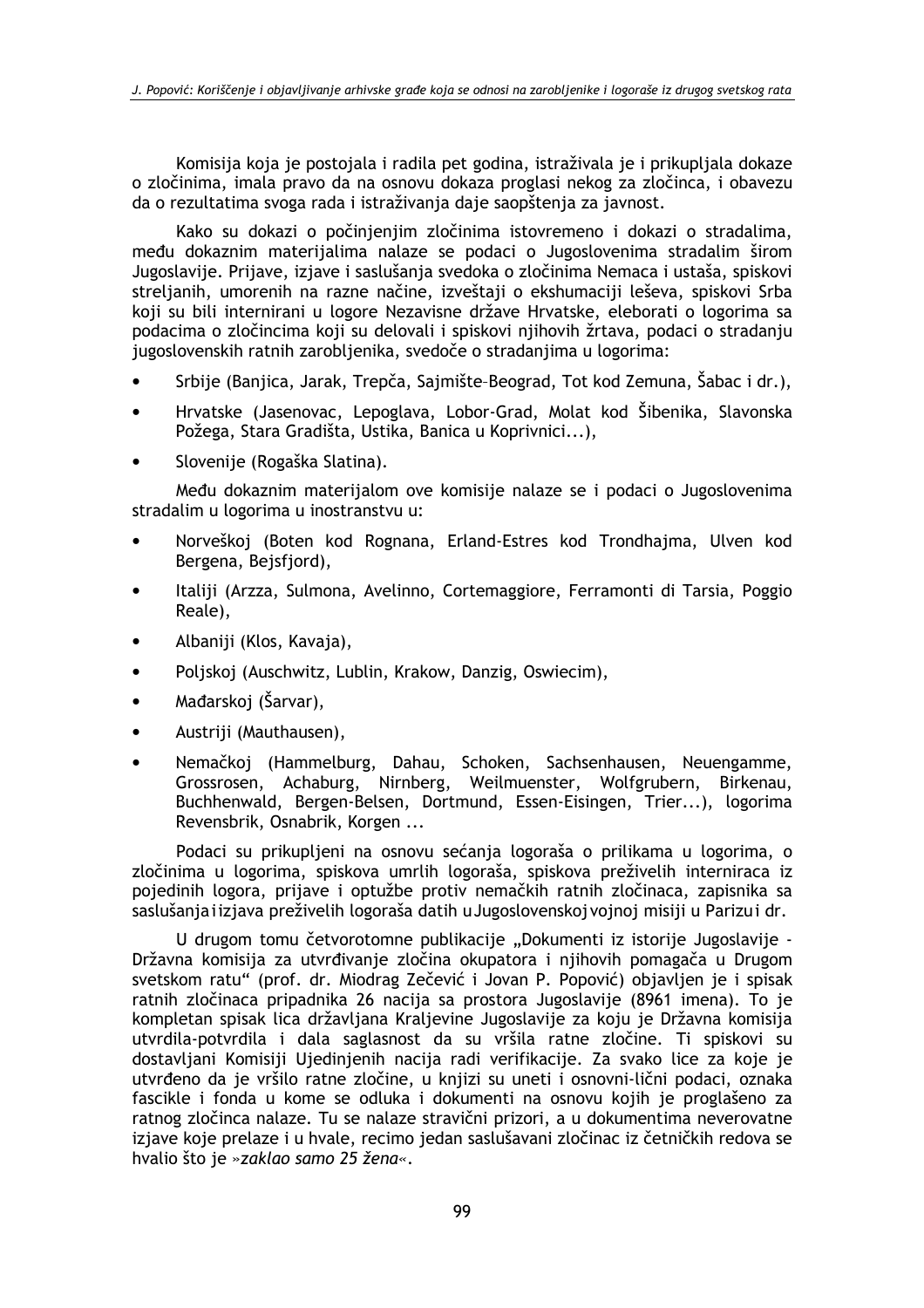Komisija koja je postojala i radila pet godina, istraživala je i prikupljala dokaze o zločinima, imala pravo da na osnovu dokaza proglasi nekog za zločinca, i obavezu da o rezultatima svoga rada i istraživania daje saopštenia za javnost.

Kako su dokazi o počinjenijm zločinima istovremeno i dokazi o stradalima, među dokaznim materijalima nalaze se podaci o Jugoslovenima stradalim širom Jugoslavije. Prijave, izjave i saslušanja svedoka o zločinima Nemaca i ustaša, spiskovi streljanih, umorenih na razne načine, izveštaji o ekshumaciji leševa, spiskovi Srba koji su bili internirani u logore Nezavisne države Hrvatske, eleborati o logorima sa podacima o zločincima koji su delovali i spiskovi njihovih žrtava, podaci o stradanju jugoslovenskih ratnih zarobljenika, svedoče o stradanjima u logorima:

- Srbije (Banjica, Jarak, Trepča, Sajmište-Beograd, Tot kod Zemuna, Šabac i dr.),
- Hrvatske (Jasenovac, Lepoglava, Lobor-Grad, Molat kod Šibenika, Slavonska Požega, Stara Gradišta, Ustika, Banica u Koprivnici...),
- Slovenije (Rogaška Slatina).

Među dokaznim materijalom ove komisije nalaze se i podaci o Jugoslovenima stradalim u logorima u inostranstvu u:

- Norveškoj (Boten kod Rognana, Erland-Estres kod Trondhajma, Ulven kod Bergena, Bejsfjord),
- Italiji (Arzza, Sulmona, Avelinno, Cortemaggiore, Ferramonti di Tarsia, Poggio  $\bullet$ Reale),
- Albaniji (Klos, Kavaja),
- Poliskoj (Auschwitz, Lublin, Krakow, Danzig, Oswiecim),
- Mađarskoj (Šarvar),
- Austriji (Mauthausen),
- Nemačkoj (Hammelburg, Dahau, Schoken, Sachsenhausen, Neuengamme, Grossrosen, Achaburg, Nirnberg, Weilmuenster, Wolfgrubern, Birkenau, Buchhenwald, Bergen-Belsen, Dortmund, Essen-Eisingen, Trier...), logorima Revensbrik, Osnabrik, Korgen ...

Podaci su prikupljeni na osnovu sećanja logoraša o prilikama u logorima, o zločinima u logorima, spiskova umrlih logoraša, spiskova preživelih interniraca iz pojedinih logora, prijave i optužbe protiv nemačkih ratnih zločinaca, zapisnika sa saslušanja i izjava preživelih logoraša datih u Jugoslovenskoj vojnoj misiji u Parizuj dr.

U drugom tomu četvorotomne publikacije "Dokumenti iz istorije Jugoslavije -Državna komisija za utvrđivanje zločina okupatora i njihovih pomagača u Drugom svetskom ratu" (prof. dr. Miodrag Zečević i Jovan P. Popović) objavljen je i spisak ratnih zločinaca pripadnika 26 nacija sa prostora Jugoslavije (8961 imena). To je kompletan spisak lica državljana Kraljevine Jugoslavije za koju je Državna komisija utvrdila-potvrdila i dala saglasnost da su vršila ratne zločine. Ti spiskovi su dostavljani Komisiji Ujedinjenih nacija radi verifikacije. Za svako lice za koje je utvrđeno da je vršilo ratne zločine, u knjizi su uneti i osnovni-lični podaci, oznaka fascikle i fonda u kome se odluka i dokumenti na osnovu kojih je proglašeno za ratnog zločinca nalaze. Tu se nalaze stravični prizori, a u dokumentima neverovatne izjave koje prelaze i u hvale, recimo jedan saslušavani zločinac iz četničkih redova se hvalio što je »zaklao samo 25 žena«.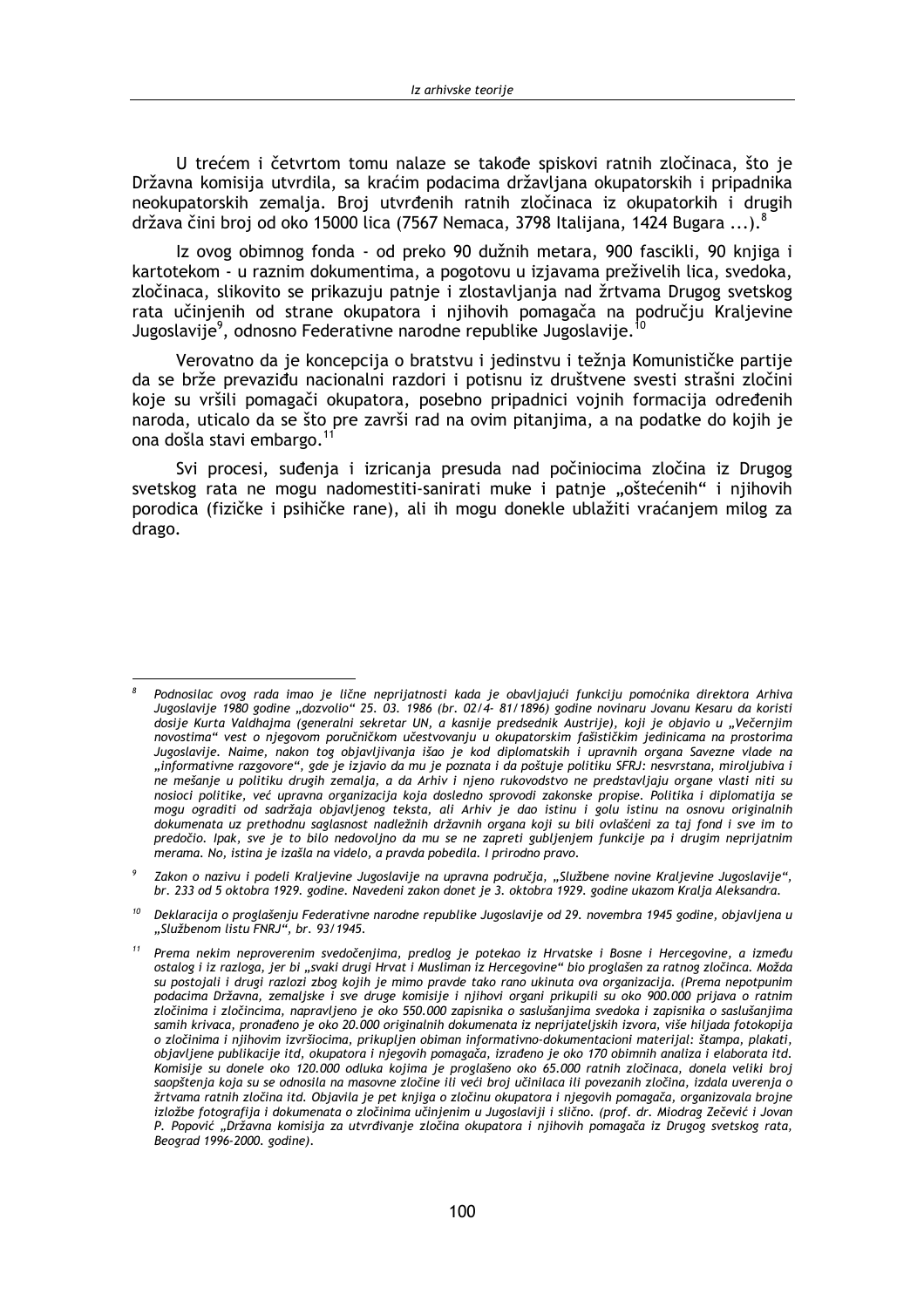U trećem i četvrtom tomu nalaze se takođe spiskovi ratnih zločinaca, što je Državna komisija utvrdila, sa kraćim podacima državljana okupatorskih i pripadnika neokupatorskih zemalia. Broi utvrđenih ratnih zločinaca iz okupatorkih i drugih država čini broj od oko 15000 lica (7567 Nemaca, 3798 Italijana, 1424 Bugara ...).<sup>8</sup>

Iz ovog obimnog fonda - od preko 90 dužnih metara, 900 fascikli, 90 knjiga i kartotekom - u raznim dokumentima, a pogotovu u izjavama preživelih lica, svedoka, zločinaca, slikovito se prikazuju patnje i zlostavljanja nad žrtvama Drugog svetskog rata učinjenih od strane okupatora i njihovih pomagača na području Kraljevine Jugoslavije<sup>9</sup>, odnosno Federativne narodne republike Jugoslavije.

Verovatno da je koncepcija o bratstvu i jedinstvu i težnja Komunističke partije da se brže prevaziđu nacionalni razdori i potisnu iz društvene svesti strašni zločini koje su vršili pomagači okupatora, posebno pripadnici vojnih formacija određenih naroda, uticalo da se što pre završi rad na ovim pitanjima, a na podatke do kojih je ona došla stavi embargo.<sup>11</sup>

Svi procesi, suđenja i izricanja presuda nad počiniocima zločina iz Drugog svetskog rata ne mogu nadomestiti-sanirati muke i patnie "oštećenih" i njihovih porodica (fizičke i psihičke rane), ali ih mogu donekle ublažiti vraćanjem milog za drago.

Podnosilac ovog rada imao je lične neprijatnosti kada je obavljajući funkciju pomoćnika direktora Arhiva Jugoslavije 1980 godine "dozvolio" 25. 03. 1986 (br. 02/4- 81/1896) godine novinaru Jovanu Kesaru da koristi dosije Kurta Valdhajma (generalni sekretar UN, a kasnije predsednik Austrije), koji je objavio u "Večernjim novostima" vest o njegovom poručničkom učestvovanju u okupatorskim fašističkim jedinicama na prostorima Jugoslavije. Naime, nakon tog objavljivanja išao je kod diplomatskih i upravnih organa Savezne vlade na "informativne razgovore", gde je izjavio da mu je poznata i da poštuje politiku SFRJ: nesvrstana, miroljubiva i ne mešanje u politiku drugih zemalja, a da Arhiv i njeno rukovodstvo ne predstavljaju organe vlasti niti su nosioci politike, već upravna organizacija koja dosledno sprovodi zakonske propise. Politika i diplomatija se mogu ograditi od sadržaja objavljenog teksta, ali Arhiv je dao istinu i golu istinu na osnovu originalnih dokumenata uz prethodnu saglasnost nadležnih državnih organa koji su bili ovlašćeni za taj fond i sve im to predočio. Ipak, sve je to bilo nedovoljno da mu se ne zapreti gubljenjem funkcije pa i drugim neprijatnim merama. No, istina je izašla na videlo, a pravda pobedila. I prirodno pravo.

Zakon o nazivu i podeli Kraljevine Jugoslavije na upravna područja, "Službene novine Kraljevine Jugoslavije", br. 233 od 5 oktobra 1929. godine. Navedeni zakon donet je 3. oktobra 1929. godine ukazom Kralja Aleksandra.

 $^{10}$  Deklaracija o proglašenju Federativne narodne republike Jugoslavije od 29. novembra 1945 godine, objavljena u "Službenom listu FNRJ", br. 93/1945.

<sup>&</sup>lt;sup>11</sup> Prema nekim neproverenim svedočenjima, predlog je potekao iz Hrvatske i Bosne i Hercegovine, a između ostalog i iz razloga, jer bi "svaki drugi Hrvat i Musliman iz Hercegovine" bio proglašen za ratnog zločinca. Možda su postojali i drugi razlozi zbog kojih je mimo pravde tako rano ukinuta ova organizacija. (Prema nepotpunim podacima Državna, zemaljske i sve druge komisije i njihovi organi prikupili su oko 900.000 prijava o ratnim zločinima i zločincima, napravljeno je oko 550.000 zapisnika o saslušanjima svedoka i zapisnika o saslušanjima samih krivaca, pronađeno je oko 20.000 originalnih dokumenata iz neprijateljskih izvora, više hiljada fotokopija o zločinima i njihovim izvršiocima, prikupljen obiman informativno-dokumentacioni materijal: štampa, plakati, objavljene publikacije itd, okupatora i njegovih pomagača, izrađeno je oko 170 obimnih analiza i elaborata itd. Komisije su donele oko 120.000 odluka kojima je proglašeno oko 65.000 ratnih zločinaca, donela veliki broj saopštenja koja su se odnosila na masovne zločine ili veći broj učinilaca ili povezanih zločina, izdala uverenja o žrtvama ratnih zločina itd. Objavila je pet knjiga o zločinu okupatora i njegovih pomagača, organizovala brojne izložbe fotografija i dokumenata o zločinima učinjenim u Jugoslaviji i slično. (prof. dr. Miodrag Zečević i Jovan P. Popović "Državna komisija za utvrđivanje zločina okupatora i njihovih pomagača iz Drugog svetskog rata, Beograd 1996-2000. godine).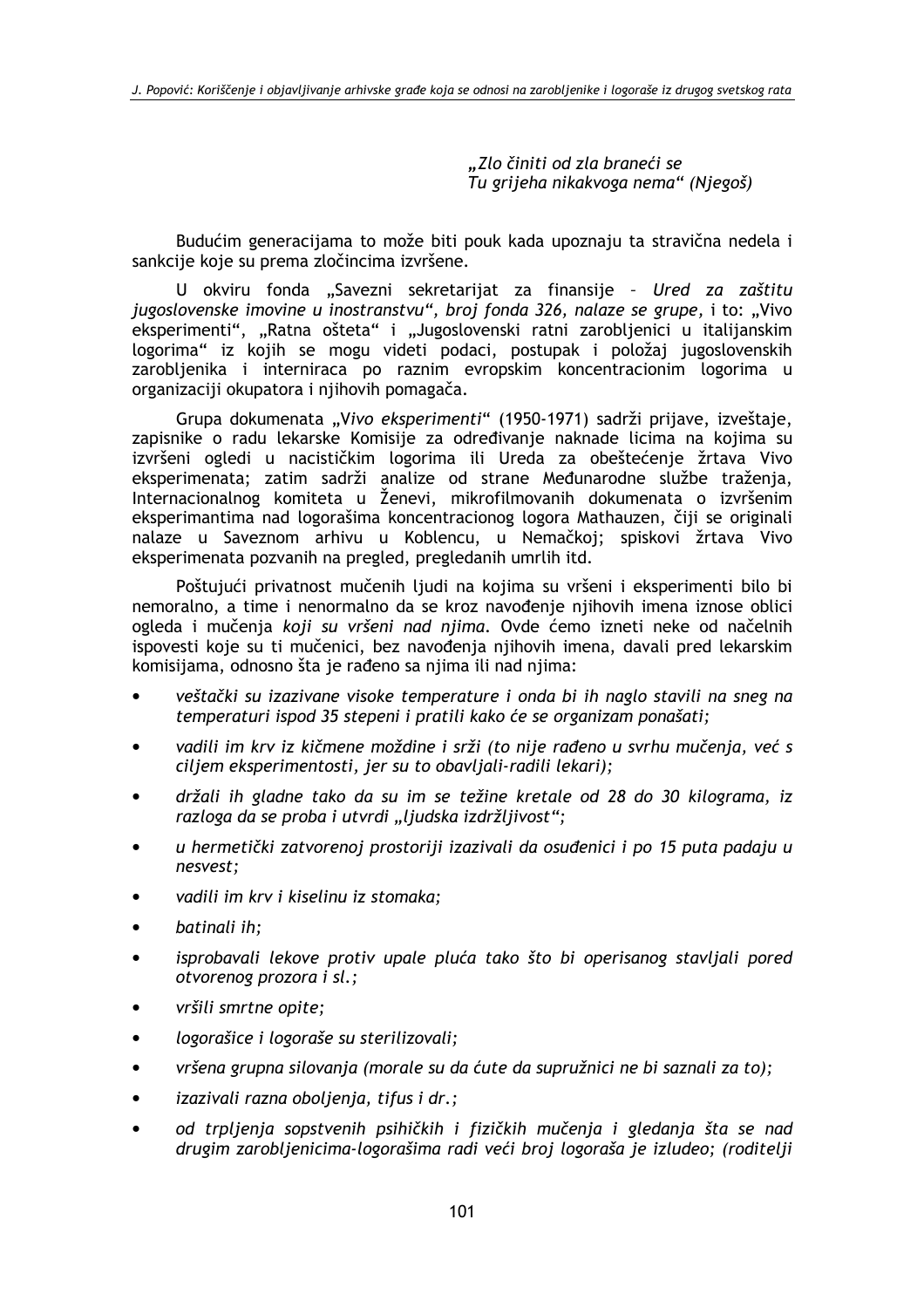"Zlo činiti od zla braneći se Tu grijeha nikakvoga nema" (Niegoš)

Budućim generacijama to može biti pouk kada upoznaju ta stravična nedela i sankcije koje su prema zločincima izvršene.

U okviru fonda "Savezni sekretarijat za finansije - Ured za zaštitu jugoslovenske imovine u inostranstvu", broj fonda 326, nalaze se grupe, i to: "Vivo eksperimenti", "Ratna ošteta" i "Jugoslovenski ratni zarobljenici u italijanskim logorima" iz kojih se mogu videti podaci, postupak i položaj jugoslovenskih zarobljenika i interniraca po raznim evropskim koncentracionim logorima u organizaciji okupatora i njihovih pomagača.

Grupa dokumenata "Vivo eksperimenti" (1950-1971) sadrži prijave, izveštaje, zapisnike o radu lekarske Komisije za određivanje naknade licima na kojima su izvršeni ogledi u nacističkim logorima ili Ureda za obeštećenje žrtava Vivo eksperimenata; zatim sadrži analize od strane Međunarodne službe traženja,<br>Internacionalnog komiteta u Ženevi, mikrofilmovanih dokumenata o izvršenim eksperimantima nad logorašima koncentracionog logora Mathauzen, čiji se originali nalaze u Saveznom arhivu u Koblencu, u Nemačkoj; spiskovi žrtava Vivo eksperimenata pozvanih na pregled, pregledanih umrlih itd.

Poštujući privatnost mučenih ljudi na kojima su vršeni i eksperimenti bilo bi nemoralno, a time i nenormalno da se kroz navođenje njihovih imena iznose oblici ogleda i mučenja koji su vršeni nad njima. Ovde ćemo izneti neke od načelnih ispovesti koje su ti mučenici, bez navođenja njihovih imena, davali pred lekarskim komisijama, odnosno šta je rađeno sa njima ili nad njima:

- veštački su izazivane visoke temperature i onda bi ih naglo stavili na sneg na  $\bullet$ temperaturi ispod 35 stepeni i pratili kako će se organizam ponašati;
- vadili im krv iz kičmene moždine i srži (to nije rađeno u svrhu mučenja, već s ciljem eksperimentosti, jer su to obavljali-radili lekari);
- držali ih gladne tako da su im se težine kretale od 28 do 30 kilograma, iz  $\bullet$ razloga da se proba i utvrdi "ljudska izdržljivost";
- u hermetički zatvorenoj prostoriji izazivali da osuđenici i po 15 puta padaju u nesvest:
- vadili im krv i kiselinu iz stomaka:  $\bullet$
- batinali ih:
- isprobavali lekove protiv upale pluća tako što bi operisanog stavljali pored  $\bullet$ otvorenog prozora i sl.:
- vršili smrtne opite:
- logorašice i logoraše su sterilizovali;
- vršena grupna silovania (morale su da ćute da supružnici ne bi saznali za to);
- izazivali razna obolienia, tifus i dr.;
- od trpljenja sopstvenih psihičkih i fizičkih mučenja i gledanja šta se nad drugim zaroblienicima-logorašima radi veći broj logoraša je izludeo; (roditelij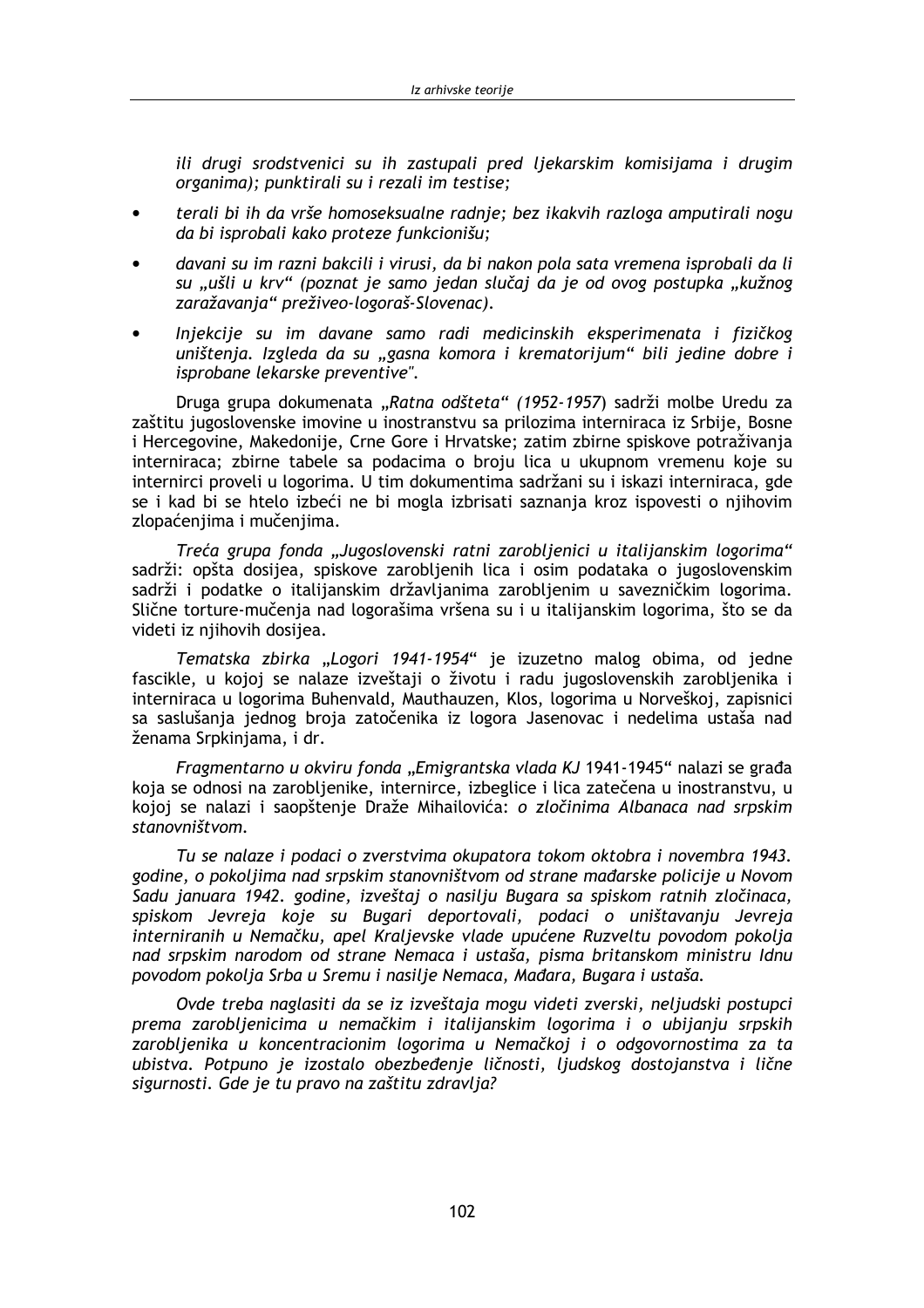ili drugi srodstvenici su ih zastupali pred liekarskim komisijama i drugim organima); punktirali su i rezali im testise;

- terali bi ih da vrše homoseksualne radnie; bez ikakvih razloga amputirali nogu da bi isprobali kako proteze funkcionišu:
- davani su im razni bakcili i virusi, da bi nakon pola sata vremena isprobali da li su "ušli u krv" (poznat je samo jedan slučaj da je od ovog postupka "kužnog zaražavanja" preživeo-logoraš-Slovenac).
- Injekcije su im davane samo radi medicinskih eksperimenata i fizičkog uništenja. Izgleda da su "gasna komora i krematorijum" bili jedine dobre i isprobane lekarske preventive".

Druga grupa dokumenata "Ratna odšteta" (1952-1957) sadrži molbe Uredu za zaštitu jugoslovenske imovine u inostranstvu sa prilozima interniraca iz Srbije, Bosne i Hercegovine, Makedonije, Crne Gore i Hrvatske; zatim zbirne spiskove potraživanja interniraca; zbirne tabele sa podacima o broju lica u ukupnom vremenu koje su internirci proveli u logorima. U tim dokumentima sadržani su i iskazi interniraca, gde se i kad bi se htelo izbeći ne bi mogla izbrisati saznanja kroz ispovesti o njihovim zlopaćenjima i mučenjima.

Treća grupa fonda "Jugoslovenski ratni zarobljenici u italijanskim logorima" sadrži: opšta dosijea, spiskove zarobljenih lica i osim podataka o jugoslovenskim sadrži i podatke o italijanskim državljanima zarobljenim u savezničkim logorima. Slične torture-mučenja nad logorašima vršena su i u italijanskim logorima, što se da videti iz njihovih dosijea.

Tematska zbirka "Logori 1941-1954" je izuzetno malog obima, od jedne fascikle, u kojoj se nalaze izveštaji o životu i radu jugoslovenskih zarobljenika i interniraca u logorima Buhenvald, Mauthauzen, Klos, logorima u Norveškoj, zapisnici sa saslušanja jednog broja zatočenika iz logora Jasenovac i nedelima ustaša nad ženama Srpkinjama, i dr.

Fragmentarno u okviru fonda "Emigrantska vlada KJ 1941-1945" nalazi se građa koja se odnosi na zarobljenike, internirce, izbeglice i lica zatečena u inostranstvu, u kojoj se nalazi i saopštenje Draže Mihailovića: o zločinima Albanaca nad srpskim stanovništvom.

Tu se nalaze i podaci o zverstvima okupatora tokom oktobra i novembra 1943. godine, o pokolijma nad srpskim stanovništvom od strane mađarske policije u Novom Sadu januara 1942. godine, izveštaj o nasilju Bugara sa spiskom ratnih zločinaca, spiskom Jevreja koje su Bugari deportovali, podaci o uništavanju Jevreja interniranih u Nemačku, apel Kraljevske vlade upućene Ruzveltu povodom pokolja nad srpskim narodom od strane Nemaca i ustaša, pisma britanskom ministru Idnu povodom pokolja Srba u Sremu i nasilje Nemaca, Mađara, Bugara i ustaša.

Ovde treba naglasiti da se iz izveštaja mogu videti zverski, neljudski postupci prema zarobljenicima u nemačkim i italijanskim logorima i o ubijanju srpskih zarobljenika u koncentracionim logorima u Nemačkoj i o odgovornostima za ta ubistva. Potpuno je izostalo obezbeđenje ličnosti, ljudskog dostojanstva i lične sigurnosti. Gde je tu pravo na zaštitu zdravlja?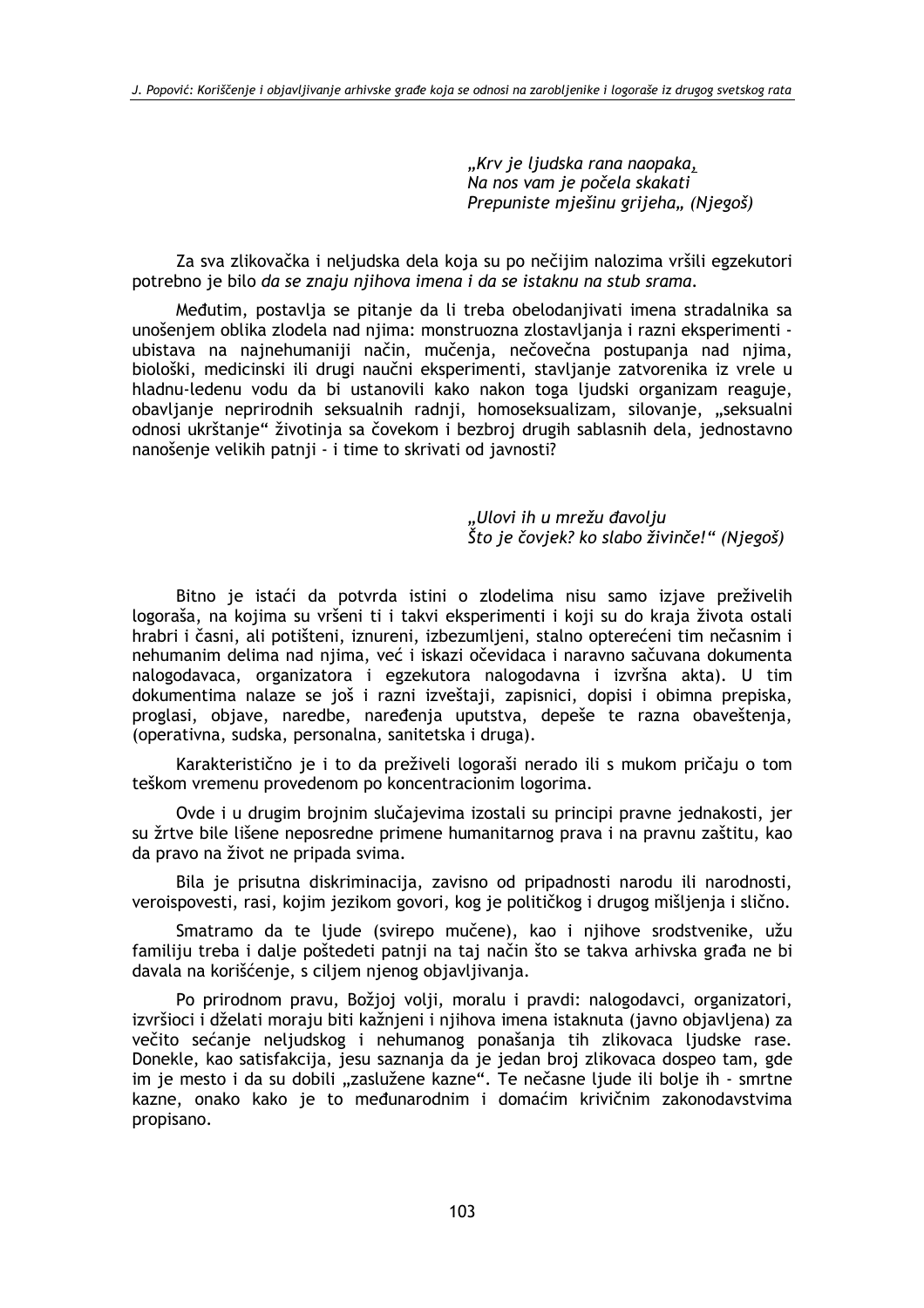"Krv je ljudska rana naopaka, Na nos vam je počela skakati Prepuniste miešinu grijeha.. (Niegoš)

Za sva zlikovačka i neljudska dela koja su po nečijim nalozima vršili egzekutori potrebno je bilo da se znaju nijhova imena i da se istaknu na stub srama.

Međutim, postavlja se pitanje da li treba obelodanjivati imena stradalnika sa unošenjem oblika zlodela nad njima: monstruozna zlostavljanja i razni eksperimenti ubistava na najnehumaniji način, mučenja, nečovečna postupanja nad njima, biološki, medicinski ili drugi naučni eksperimenti, stavljanje zatvorenika iz vrele u hladnu-ledenu vodu da bi ustanovili kako nakon toga ljudski organizam reaguje, obavljanje neprirodnih seksualnih radnji, homoseksualizam, silovanje, "seksualni odnosi ukrštanje" životinja sa čovekom i bezbroj drugih sablasnih dela, jednostavno nanošenje velikih patnji - i time to skrivati od javnosti?

> "Ulovi ih u mrežu đavolju Što je čovjek? ko slabo živinče!" (Niegoš)

Bitno je istaći da potvrda istini o zlodelima nisu samo izjave preživelih logoraša, na kojima su vršeni ti i takvi eksperimenti i koji su do kraja života ostali hrabri i časni, ali potišteni, iznureni, izbezumljeni, stalno opterećeni tim nečasnim i nehumanim delima nad njima, već i iskazi očevidaca i naravno sačuvana dokumenta nalogodavaca, organizatora i egzekutora nalogodavna i izvršna akta). U tim dokumentima nalaze se još i razni izveštaji, zapisnici, dopisi i obimna prepiska, proglasi, objave, naredbe, naređenja uputstva, depeše te razna obaveštenja, (operativna, sudska, personalna, sanitetska i druga).

Karakteristično je i to da preživeli logoraši nerado ili s mukom pričaju o tom teškom vremenu provedenom po koncentracionim logorima.

Ovde i u drugim brojnim slučajevima izostali su principi pravne jednakosti, jer su žrtve bile lišene neposredne primene humanitarnog prava i na pravnu zaštitu, kao da pravo na život ne pripada svima.

Bila je prisutna diskriminacija, zavisno od pripadnosti narodu ili narodnosti, veroispovesti, rasi, kojim jezikom govori, kog je političkog i drugog mišljenja i slično.

Smatramo da te ljude (svirepo mučene), kao i njihove srodstvenike, užu familiju treba i dalje poštedeti patnji na taj način što se takva arhivska građa ne bi davala na korišćenje, s ciljem njenog objavljivanja.

Po prirodnom pravu, Božjoj volji, moralu i pravdi: nalogodavci, organizatori, izvršioci i dželati moraju biti kažnjeni i njihova imena istaknuta (javno objavljena) za večito sećanje neljudskog i nehumanog ponašanja tih zlikovaca ljudske rase. Donekle, kao satisfakcija, jesu saznanja da je jedan broj zlikovaca dospeo tam, gde im je mesto i da su dobili "zaslužene kazne". Te nečasne ljude ili bolje ih - smrtne kazne, onako kako je to međunarodnim i domaćim krivičnim zakonodavstvima propisano.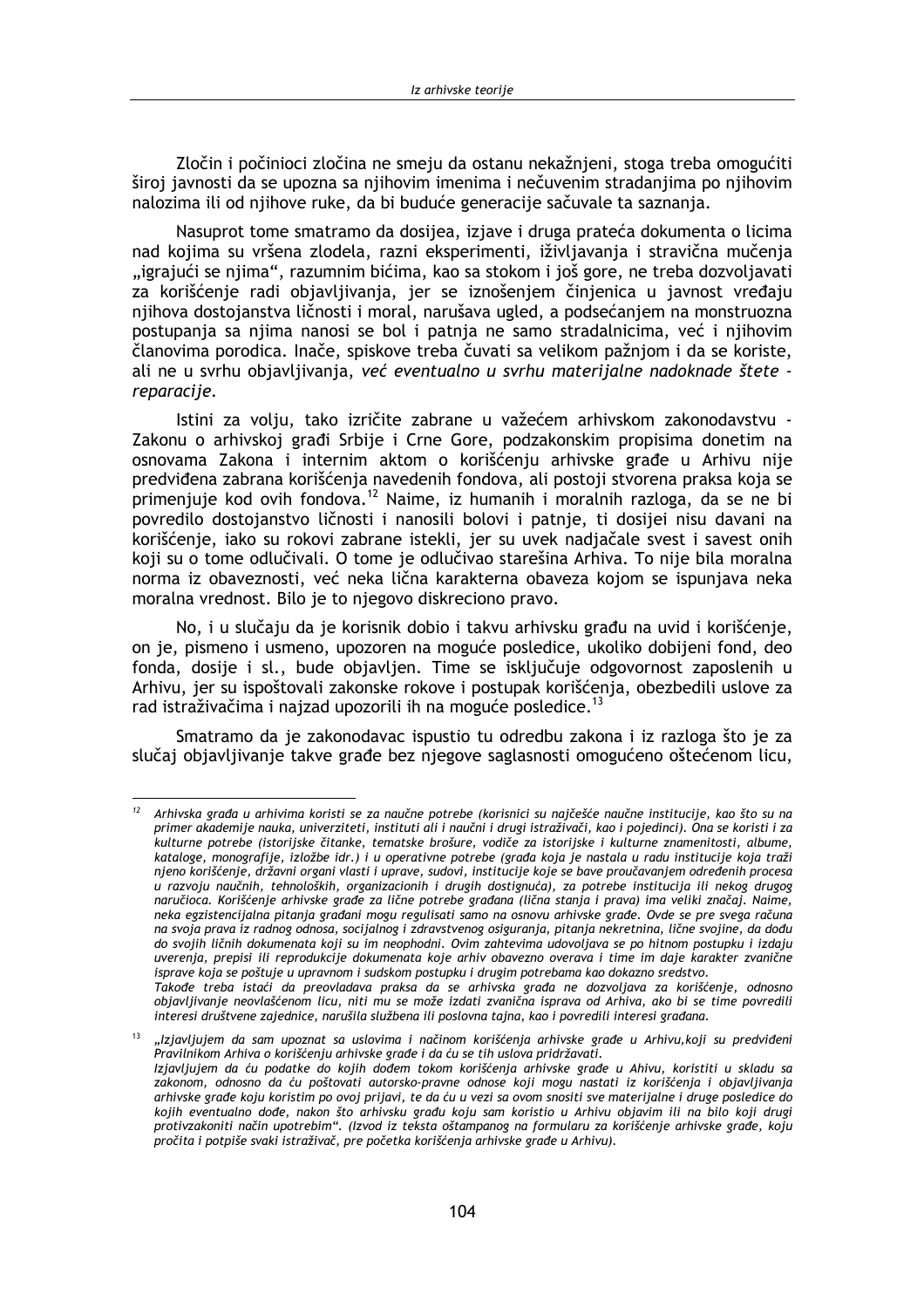Zločin i počinjoci zločina ne smeju da ostanu nekažnieni, stoga treba omogućiti široj javnosti da se upozna sa njihovim imenima i nečuvenim stradanjima po njihovim nalozima ili od nijhove ruke, da bi buduće generacije sačuvale ta saznanja.

Nasuprot tome smatramo da dosijea, iziave i druga prateća dokumenta o licima nad kojima su vršena zlodela, razni eksperimenti, iživliavanja i stravična mučenja "igrajući se njima", razumnim bićima, kao sa stokom i još gore, ne treba dozvoljavati za korišćenje radi objavljivanja, jer se iznošenjem činjenica u javnost vređaju njihova dostojanstva ličnosti i moral, narušava ugled, a podsećanjem na monstruozna postupanja sa njima nanosi se bol i patnja ne samo stradalnicima, već i njihovim članovima porodica. Inače, spiskove treba čuvati sa velikom pažnjom i da se koriste, ali ne u svrhu objavljivanja, već eventualno u svrhu materijalne nadoknade štete reparacije.

Istini za volju, tako izričite zabrane u važećem arhivskom zakonodavstvu -Zakonu o arhivskoj građi Srbije i Crne Gore, podzakonskim propisima donetim na osnovama Zakona i internim aktom o korišćenju arhivske građe u Arhivu nije predviđena zabrana korišćenja navedenih fondova, ali postoji stvorena praksa koja se primenjuje kod ovih fondova.<sup>12</sup> Naime, iz humanih i moralnih razloga, da se ne bi povredilo dostojanstvo ličnosti i nanosili bolovi i patnje, ti dosijej nisu davani na korišćenje, jako su rokovi zabrane istekli, jer su uvek nadjačale svest i savest onih koji su o tome odlučivali. O tome je odlučivao starešina Arhiva. To nije bila moralna norma iz obaveznosti, već neka lična karakterna obaveza kojom se ispunjava neka moralna vrednost. Bilo je to njegovo diskreciono pravo.

No, i u slučaju da je korisnik dobio i takvu arhivsku građu na uvid i korišćenje, on je, pismeno i usmeno, upozoren na moguće posledice, ukoliko dobijeni fond, deo fonda, dosije i sl., bude objavljen. Time se isključuje odgovornost zaposlenih u Arhivu, jer su ispoštovali zakonske rokove i postupak korišćenja, obezbedili uslove za rad istraživačima i najzad upozorili ih na moguće posledice.<sup>13</sup>

Smatramo da je zakonodavac ispustio tu odredbu zakona i iz razloga što je za slučaj objavljivanje takve građe bez njegove saglasnosti omogućeno oštećenom licu,

 $12$ Arhivska građa u arhivima koristi se za naučne potrebe (korisnici su najčešće naučne institucije, kao što su na primer akademije nauka, univerziteti, instituti ali i naučni i drugi istraživači, kao i pojedinci). Ona se koristi i za .<br>kulturne potrebe (istorijske čitanke, tematske brošure, vodiče za istorijske i kulturne znamenitosti, albume, kataloge, monografije, izložbe idr.) i u operativne potrebe (građa koja je nastala u radu institucije koja traži njeno korišćenje, državni organi vlasti i uprave, sudovi, institucije koje se bave proučavanjem određenih procesa u razvoju naučnih, tehnoloških, organizacionih i drugih dostignuća), za potrebe institucija ili nekog drugog naručioca. Korišćenje arhivske građe za lične potrebe građana (lična stanja i prava) ima veliki značaj. Naime, neka egzistencijalna pitanja građani mogu regulisati samo na osnovu arhivske građe. Ovde se pre svega računa na svoja prava iz radnog odnosa, socijalnog i zdravstvenog osiguranja, pitanja nekretnina, lične svojine, da dođu do svojih ličnih dokumenata koji su im neophodni. Ovim zahtevima udovoljava se po hitnom postupku i izdaju uverenja, prepisi ili reprodukcije dokumenata koje arhiv obavezno overava i time im daje karakter zvanične isprave koja se poštuje u upravnom i sudskom postupku i drugim potrebama kao dokazno sredstvo.

Takođe treba istaći da preovladava praksa da se arhivska građa ne dozvoljava za korišćenje, odnosno objavljivanje neovlašćenom licu, niti mu se može izdati zvanična isprava od Arhiva, ako bi se time povredili interesi društvene zajednice, narušila službena ili poslovna tajna, kao i povredili interesi građana.

<sup>&</sup>quot;Izjavljujem da sam upoznat sa uslovima i načinom korišćenja arhivske građe u Arhivu, koji su predviđeni Pravilnikom Arhiva o korišćenju arhivske građe i da ću se tih uslova pridržavati. Izjavljujem da ću podatke do kojih dođem tokom korišćenja arhivske građe u Ahivu, koristiti u skladu sa zakonom, odnosno da ću poštovati autorsko-pravne odnose koji mogu nastati iz korišćenja i objavljivanja arhivske građe koju koristim po ovoj prijavi, te da ću u vezi sa ovom snositi sve materijalne i druge posledice do kojih eventualno dođe, nakon što arhivsku građu koju sam koristio u Arhivu objavim ili na bilo koji drugi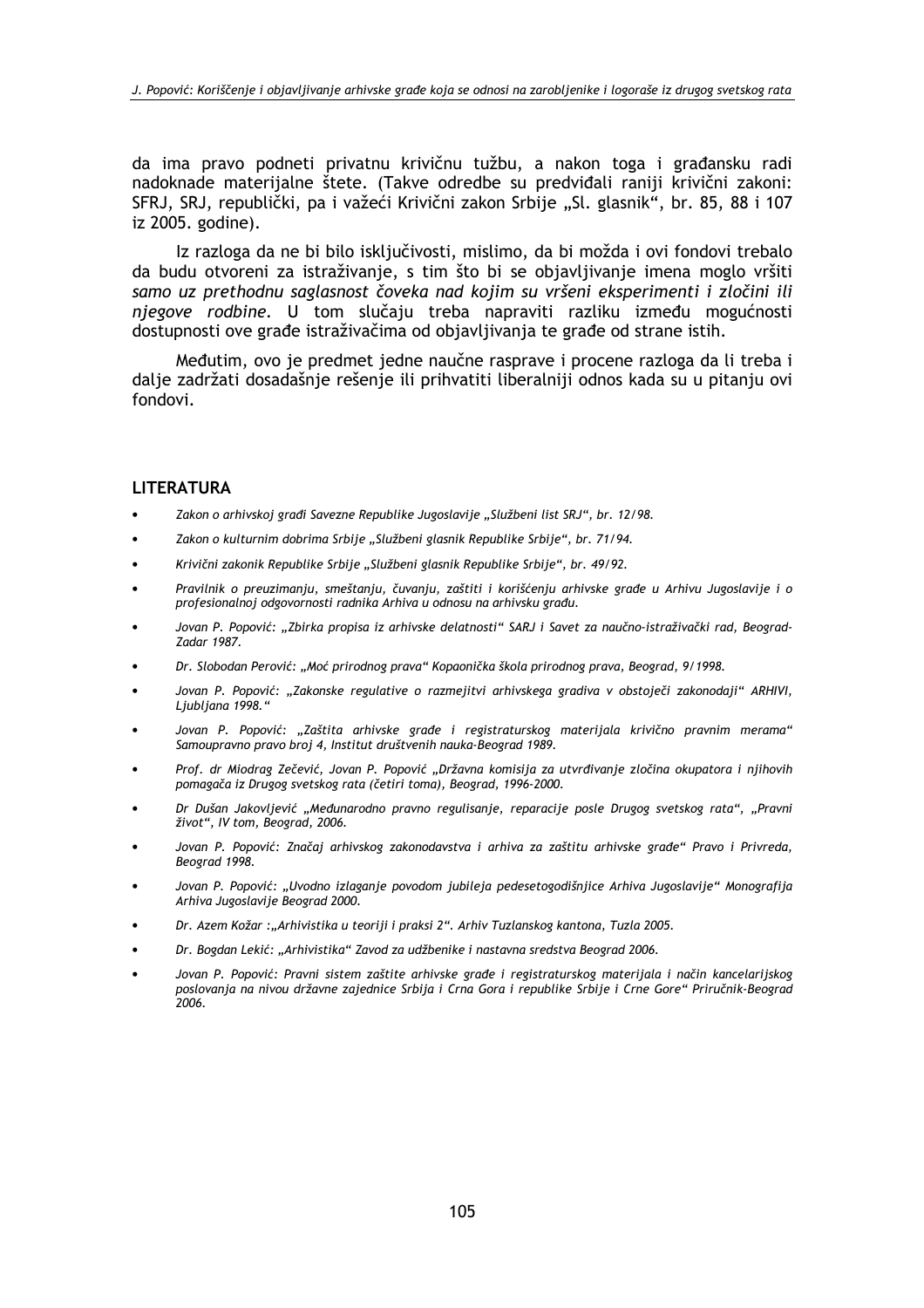da ima pravo podneti privatnu krivičnu tužbu, a nakon toga i građansku radi nadoknade materiialne štete. (Takve odredbe su predviđali raniji krivični zakoni: SFRJ, SRJ, republički, pa i važeći Krivični zakon Srbije "Sl. glasnik", br. 85, 88 i 107 iz 2005. godine).

Iz razloga da ne bi bilo isključivosti, mislimo, da bi možda i ovi fondovi trebalo da budu otvoreni za istraživanje, s tim što bi se objavljivanje imena moglo vršiti samo uz prethodnu saglasnost čoveka nad kojim su vršeni eksperimenti i zločini ili njegove rodbine. U tom slučaju treba napraviti razliku između mogućnosti dostupnosti ove građe istraživačima od objavljivanja te građe od strane istih.

Međutim, ovo je predmet jedne naučne rasprave i procene razloga da li treba i dalje zadržati dosadašnje rešenje ili prihvatiti liberalniji odnos kada su u pitanju ovi fondovi.

### **LITERATURA**

- Zakon o arhivskoj građi Savezne Republike Jugoslavije "Službeni list SRJ", br. 12/98.
- Zakon o kulturnim dobrima Srbije "Službeni glasnik Republike Srbije", br. 71/94.
- Krivični zakonik Republike Srbije "Službeni glasnik Republike Srbije", br. 49/92.
- Pravilnik o preuzimanju, smeštanju, čuvanju, zaštiti i korišćenju arhivske građe u Arhivu Jugoslavije i o profesionalnoj odgovornosti radnika Arhiva u odnosu na arhivsku građu.
- Jovan P. Popović: "Zbirka propisa iz arhivske delatnosti" SARJ i Savet za naučno-istraživački rad, Beograd-Zadar 1987.
- Dr. Slobodan Perović: "Moć prirodnog prava" Kopaonička škola prirodnog prava, Beograd, 9/1998.
- Jovan P. Popović: "Zakonske regulative o razmejitvi arhivskega gradiva v obstoječi zakonodaji" ARHIVI. Ljubljana 1998."
- Jovan P. Popović: "Zaštita arhivske građe i registraturskog materijala krivično pravnim merama" Samoupravno pravo broj 4. Institut društvenih nauka-Beograd 1989.
- Prof. dr Miodrag Zečević, Jovan P. Popović "Državna komisija za utvrđivanje zločina okupatora i njihovih pomagača iz Drugog svetskog rata (četiri toma), Beograd, 1996-2000.
- Dr Dušan Jakovljević "Međunarodno pravno regulisanje, reparacije posle Drugog svetskog rata", "Pravni život", IV tom, Beograd, 2006.
- Jovan P. Popović: Značaj arhivskog zakonodavstva i arhiva za zaštitu arhivske građe" Pravo i Privreda. Beograd 1998.
- Jovan P. Popović: "Uvodno izlaganje povodom jubileja pedesetogodišnjice Arhiva Jugoslavije" Monografija Arhiva Jugoslavije Beograd 2000.
- Dr. Azem Kožar:"Arhivistika u teoriji i praksi 2". Arhiv Tuzlanskog kantona, Tuzla 2005.
- Dr. Bogdan Lekić: "Arhivistika" Zavod za udžbenike i nastavna sredstva Beograd 2006.
- Jovan P. Popović: Pravni sistem zaštite arhivske građe i registraturskog materijala i način kancelarijskog poslovanja na nivou državne zajednice Srbija i Crna Gora i republike Srbije i Crne Gore" Priručnik-Beograd  $'2006.$